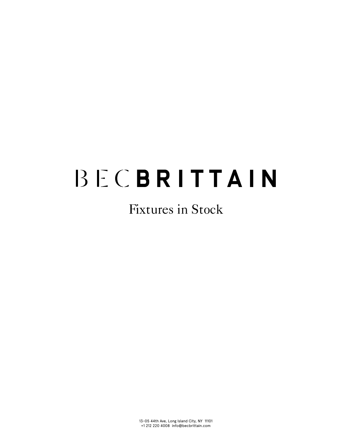# Fixtures in Stock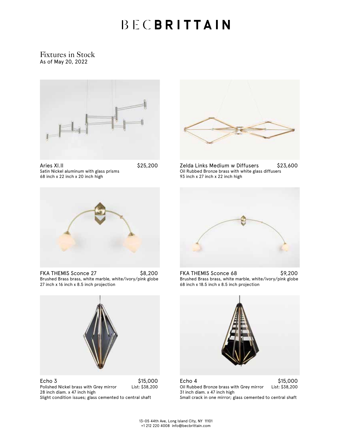#### Fixtures in Stock As of May 20, 2022



| Aries XI.II                             | \$25,200 |
|-----------------------------------------|----------|
| Satin Nickel aluminum with glass prisms |          |
| 68 inch x 22 inch x 20 inch high        |          |



Zelda Links Medium w Diffusers \$23,600 Oil Rubbed Bronze brass with white glass diffusers 93 inch x 27 inch x 22 inch high



FKA THEMIS Sconce 27 \$8,200 Brushed Brass brass, white marble, white/ivory/pink globe 27 inch x 16 inch x 8.5 inch projection



515,000<br>Polished Nickel brass with Grey mirror List: \$38,200 Polished Nickel brass with Grey mirror 28 inch diam. x 47 inch high Slight condition issues; glass cemented to central shaft



FKA THEMIS Sconce 68 \$9,200 Brushed Brass brass, white marble, white/ivory/pink globe 68 inch x 18.5 inch x 8.5 inch projection



Echo 4 \$15,000<br>Oil Rubbed Bronze brass with Grey mirror List: \$38,200 Oil Rubbed Bronze brass with Grey mirror 31 inch diam. x 47 inch high Small crack in one mirror; glass cemented to central shaft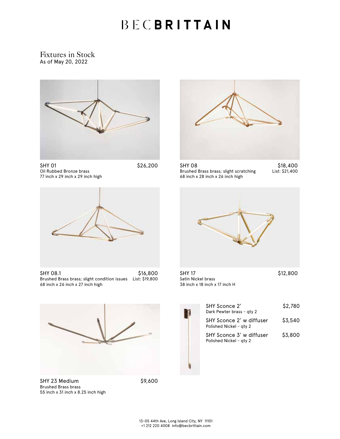Fixtures in Stock As of May 20, 2022



SHY 01 \$26,200 Oil Rubbed Bronze brass 77 inch x 29 inch x 29 inch high



SHY 08.1 \$16,800 Brushed Brass brass; slight condition issues List: \$19,800 68 inch x 26 inch x 27 inch high



SHY 23 Medium \$9,600 Brushed Brass brass 55 inch x 31 inch x 8.25 inch high



SHY 08 \$18,400<br>Brushed Brass brass; slight scratching List: \$21,400 Brushed Brass brass; slight scratching 68 inch x 28 inch x 26 inch high



SHY 17 \$12,800 Satin Nickel brass 38 inch x 18 inch x 17 inch H

| SHY Sconce 2'<br>Dark Pewter brass - gty 2          | \$2,780 |
|-----------------------------------------------------|---------|
| SHY Sconce 2' w diffuser<br>Polished Nickel - aty 2 | \$3,540 |
| SHY Sconce 3' w diffuser<br>Polished Nickel - aty 2 | \$3,800 |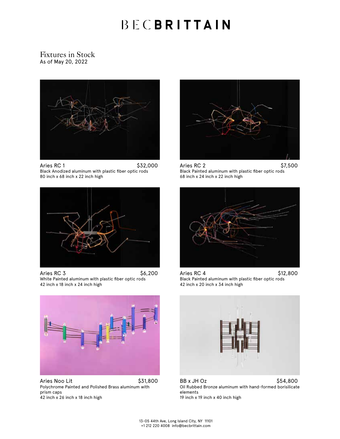#### Fixtures in Stock As of May 20, 2022



Aries RC 1 \$32,000 Black Anodized aluminum with plastic fiber optic rods 80 inch x 68 inch x 22 inch high



Aries RC 3 \$6,200 White Painted aluminum with plastic fiber optic rods 42 inch x 18 inch x 24 inch high



Aries RC 2  $\qquad \qquad$  \$7,500 Black Painted aluminum with plastic fiber optic rods 68 inch x 24 inch x 22 inch high



Aries RC 4 \$12,800 Black Painted aluminum with plastic fiber optic rods 42 inch x 20 inch x 34 inch high



Aries Noo Lit \$31,800 Polychrome Painted and Polished Brass aluminum with prism caps 42 inch x 26 inch x 18 inch high



BB x JH Oz  $$54,800$ Oil Rubbed Bronze aluminum with hand-formed borisilicate elements 19 inch x 19 inch x 40 inch high